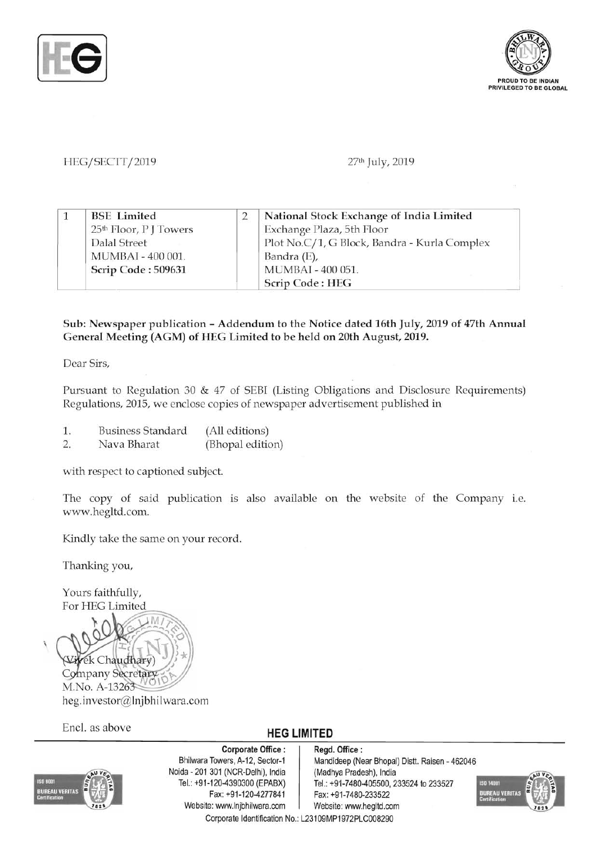



#### HEG/SECTT/2019 **27th July, 2019**

|  | <b>BSE</b> Limited                 | National Stock Exchange of India Limited     |
|--|------------------------------------|----------------------------------------------|
|  | 25 <sup>th</sup> Floor, P J Towers | Exchange Plaza, 5th Floor                    |
|  | Dalal Street                       | Plot No.C/1, G Block, Bandra - Kurla Complex |
|  | MUMBAI - 400 001.                  | Bandra (E),                                  |
|  | Scrip Code: 509631                 | MUMBAI - 400 051.                            |
|  |                                    | Scrip Code: HEG                              |

#### Sub: Newspaper publication - Addendum to the Notice dated 16th July, 2019 of 47th Annual General Meeting (AGM) of HEG Limited to be held on 20th August, 2019.

Dear Sirs,

Pursuant to Regulation 30 & 47 of SEBI (Listing Obligations and Disclosure Requirements) Regulations, 2015, we enclose copies of newspaper advertisement published in

- 1. Business Standard (All editions)
- 2. Nava Bharat (Bhopal edition)

with respect to captioned subject.

The copy of said publication is also available on the website of the Company i.e. www.hegltd.com.

Kindly take the same on your record.

Thanking you,

Yours faithfully, For HEG Limited



Ene!. as above **HEG LIMITED** 



Corporate Office : Regd. Office :<br>Bhilwara Towers, A-12, Sector-1 Mandideep (Ne Noida - 201 301 (NCR-Delhi), India (Madhya Pradesh), India<br>Tel.: +91-120-4390300 (EPABX) Tel.: +91-7480-405500, 2 Website: www.lnjbhilwara.com | Website: www.hegltd.com Corporate Identification No.: L23109MP1972PLC008290

Mandideep (Near Bhopal) Distt. Raisen - 462046 Tel.: +91-7480-405500, 233524 to 233527<br>Fax: +91-120-4277841 Fax: +91-7480-233522 Fax: +91-7480-233522

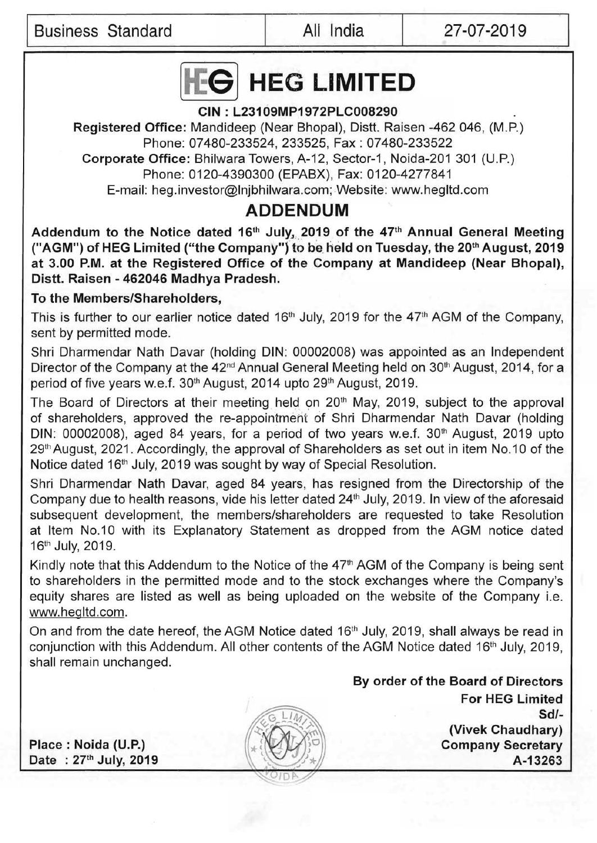I Business Standard All India 27-07-2019



### CIN : L23109MP1972PLC008290

Registered Office: Mandideep (Near Bhopal), Distt. Raisen -462 046, (M.P.) Phone: 07480-233524, 233525, Fax: 07480-233522 Corporate Office: Bhilwara Towers, A-12, Sector-1, Noida-201 301 (U.P.) Phone: 0120-4390300 (EPABX), Fax: 0120-4277841

E-mail: heg.investor@Inibhilwara.com; Website: www.hegltd.com

# **ADDENDUM**

Addendum to the Notice dated 16<sup>th</sup> July, 2019 of the 47<sup>th</sup> Annual General Meeting ("AGM") of HEG Limited ("the Company") to be held on Tuesday, the 20<sup>th</sup> August, 2019 at 3.00 P.M. at the Registered Office of the Company at Mandideep (Near Bhopal), Distt. Raisen - 462046 Madhya Pradesh.

## To the Members/Shareholders,

This is further to our earlier notice dated 16<sup>th</sup> July, 2019 for the 47<sup>th</sup> AGM of the Company, sent by permitted mode.

Shri Dharmendar Nath Davar (holding DIN: 00002008) was appointed as an Independent Director of the Company at the 42<sup>nd</sup> Annual General Meeting held on 30<sup>th</sup> August, 2014, for a period of five years w.e.f. 30<sup>th</sup> August, 2014 upto 29<sup>th</sup> August, 2019.

The Board of Directors at their meeting held on 20<sup>th</sup> May, 2019, subject to the approval of shareholders, approved the re-appointmeht of Shri Dharmendar Nath Davar (holding DIN: 00002008), aged 84 years, for a period of two years w.e.f. 30<sup>th</sup> August, 2019 upto 29th August, 2021. Accordingly, the approval of Shareholders as set out in item No.10 of the Notice dated 16<sup>th</sup> July, 2019 was sought by way of Special Resolution.

Shri Dharmendar Nath Davar, aged 84 years, has resigned from the Directorship of the Company due to health reasons, vide his letter dated 24<sup>th</sup> July, 2019. In view of the aforesaid subsequent development, the members/shareholders are requested to take Resolution at Item No.10 with its Explanatory Statement as dropped from the AGM notice dated 16th July, 2019.

Kindly note that this Addendum to the Notice of the 47<sup>th</sup> AGM of the Company is being sent to shareholders in the permitted mode and to the stock exchanges where the Company's equity shares are listed as well as being uploaded on the website of the Company i.e. www.hegltd.com.

On and from the date hereof, the AGM Notice dated 16<sup>th</sup> July, 2019, shall always be read in conjunction with this Addendum. All other contents of the AGM Notice dated 16<sup>th</sup> July, 2019, shall remain unchanged.

By order of the Board of Directors For HEG Limited Sd/ (Vivek Chaudhary) Place: Naida (U.P.) Company Secretary Date : 27<sup>th</sup> July, 2019 **A-13263**